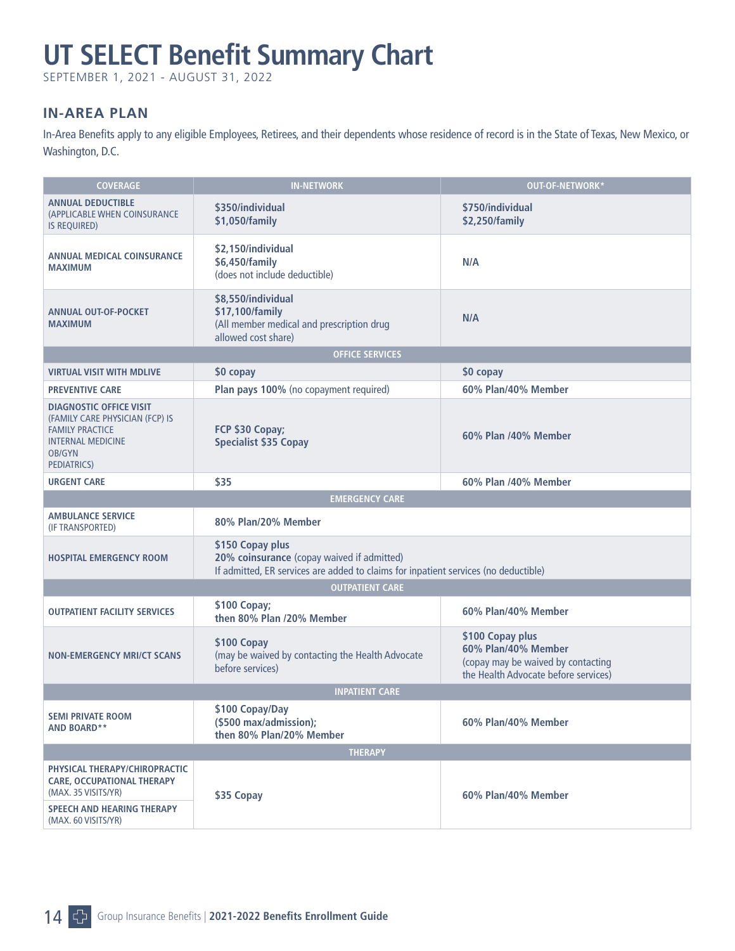# **UT SELECT Benefit Summary Chart**

SEPTEMBER 1, 2021 - AUGUST 31, 2022

# **IN-AREA PLAN**

In-Area Benefits apply to any eligible Employees, Retirees, and their dependents whose residence of record is in the State of Texas, New Mexico, or Washington, D.C.

| <b>COVERAGE</b>                                                                                                                                  | <b>IN-NETWORK</b>                                                                                                                                     | OUT-OF-NETWORK*                                                                                                       |  |  |
|--------------------------------------------------------------------------------------------------------------------------------------------------|-------------------------------------------------------------------------------------------------------------------------------------------------------|-----------------------------------------------------------------------------------------------------------------------|--|--|
| <b>ANNUAL DEDUCTIBLE</b><br>(APPLICABLE WHEN COINSURANCE<br>IS REQUIRED)                                                                         | \$350/individual<br>\$1,050/family                                                                                                                    | \$750/individual<br>\$2,250/family                                                                                    |  |  |
| <b>ANNUAL MEDICAL COINSURANCE</b><br><b>MAXIMUM</b>                                                                                              | \$2,150/individual<br>\$6,450/family<br>(does not include deductible)                                                                                 | N/A                                                                                                                   |  |  |
| <b>ANNUAL OUT-OF-POCKET</b><br><b>MAXIMUM</b>                                                                                                    | \$8,550/individual<br>\$17,100/family<br>(All member medical and prescription drug<br>allowed cost share)                                             | N/A                                                                                                                   |  |  |
|                                                                                                                                                  | <b>OFFICE SERVICES</b>                                                                                                                                |                                                                                                                       |  |  |
| <b>VIRTUAL VISIT WITH MDLIVE</b>                                                                                                                 | \$0 copay                                                                                                                                             | \$0 copay                                                                                                             |  |  |
| <b>PREVENTIVE CARE</b>                                                                                                                           | Plan pays 100% (no copayment required)                                                                                                                | 60% Plan/40% Member                                                                                                   |  |  |
| <b>DIAGNOSTIC OFFICE VISIT</b><br>(FAMILY CARE PHYSICIAN (FCP) IS<br><b>FAMILY PRACTICE</b><br><b>INTERNAL MEDICINE</b><br>OB/GYN<br>PEDIATRICS) | FCP \$30 Copay;<br><b>Specialist \$35 Copay</b>                                                                                                       | 60% Plan /40% Member                                                                                                  |  |  |
| <b>URGENT CARE</b>                                                                                                                               | \$35                                                                                                                                                  | 60% Plan /40% Member                                                                                                  |  |  |
|                                                                                                                                                  | <b>EMERGENCY CARE</b>                                                                                                                                 |                                                                                                                       |  |  |
| <b>AMBULANCE SERVICE</b><br>(IF TRANSPORTED)                                                                                                     | 80% Plan/20% Member                                                                                                                                   |                                                                                                                       |  |  |
| <b>HOSPITAL EMERGENCY ROOM</b>                                                                                                                   | \$150 Copay plus<br>20% coinsurance (copay waived if admitted)<br>If admitted, ER services are added to claims for inpatient services (no deductible) |                                                                                                                       |  |  |
| <b>OUTPATIENT CARE</b>                                                                                                                           |                                                                                                                                                       |                                                                                                                       |  |  |
| <b>OUTPATIENT FACILITY SERVICES</b>                                                                                                              | \$100 Copay;<br>then 80% Plan /20% Member                                                                                                             | 60% Plan/40% Member                                                                                                   |  |  |
| <b>NON-EMERGENCY MRI/CT SCANS</b>                                                                                                                | \$100 Copay<br>(may be waived by contacting the Health Advocate<br>before services)                                                                   | \$100 Copay plus<br>60% Plan/40% Member<br>(copay may be waived by contacting<br>the Health Advocate before services) |  |  |
| <b>INPATIENT CARE</b>                                                                                                                            |                                                                                                                                                       |                                                                                                                       |  |  |
| <b>SEMI PRIVATE ROOM</b><br><b>AND BOARD**</b>                                                                                                   | \$100 Copay/Day<br>(\$500 max/admission);<br>then 80% Plan/20% Member                                                                                 | 60% Plan/40% Member                                                                                                   |  |  |
| <b>THERAPY</b>                                                                                                                                   |                                                                                                                                                       |                                                                                                                       |  |  |
| PHYSICAL THERAPY/CHIROPRACTIC<br><b>CARE, OCCUPATIONAL THERAPY</b><br>(MAX. 35 VISITS/YR)                                                        | \$35 Copay                                                                                                                                            | 60% Plan/40% Member                                                                                                   |  |  |
| <b>SPEECH AND HEARING THERAPY</b><br>(MAX. 60 VISITS/YR)                                                                                         |                                                                                                                                                       |                                                                                                                       |  |  |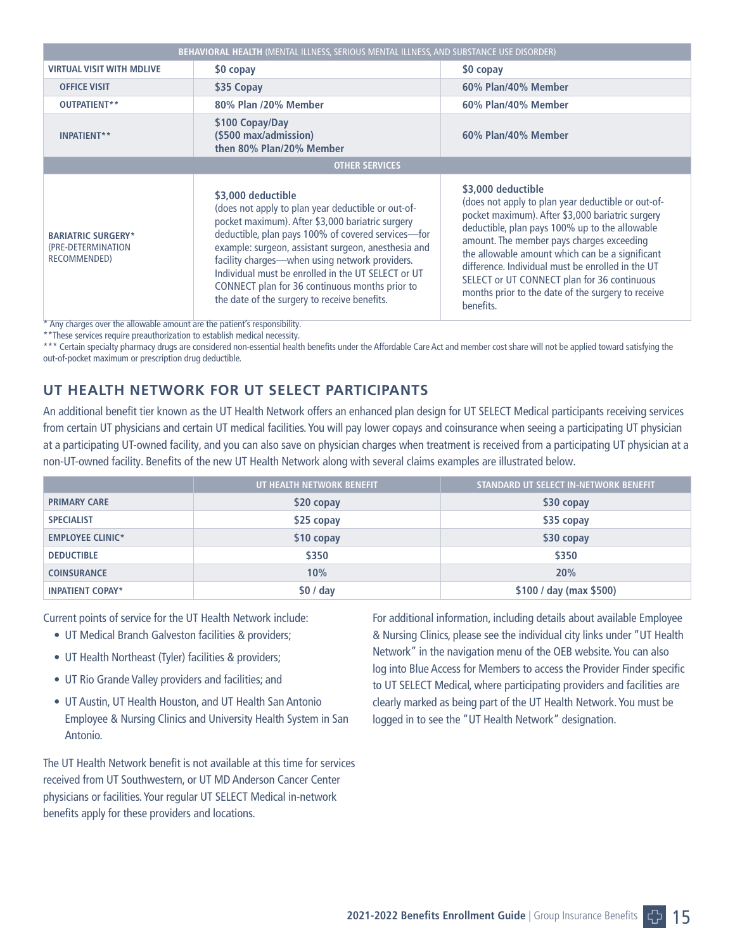| <b>BEHAVIORAL HEALTH (MENTAL ILLNESS, SERIOUS MENTAL ILLNESS, AND SUBSTANCE USE DISORDER)</b> |                                                                                                                                                                                                                                                                                                                                                                                                                                                     |                                                                                                                                                                                                                                                                                                                                                                                                                                                       |  |  |
|-----------------------------------------------------------------------------------------------|-----------------------------------------------------------------------------------------------------------------------------------------------------------------------------------------------------------------------------------------------------------------------------------------------------------------------------------------------------------------------------------------------------------------------------------------------------|-------------------------------------------------------------------------------------------------------------------------------------------------------------------------------------------------------------------------------------------------------------------------------------------------------------------------------------------------------------------------------------------------------------------------------------------------------|--|--|
| <b>VIRTUAL VISIT WITH MDLIVE</b>                                                              | \$0 copay                                                                                                                                                                                                                                                                                                                                                                                                                                           | \$0 copay                                                                                                                                                                                                                                                                                                                                                                                                                                             |  |  |
| <b>OFFICE VISIT</b>                                                                           | \$35 Copay                                                                                                                                                                                                                                                                                                                                                                                                                                          | 60% Plan/40% Member                                                                                                                                                                                                                                                                                                                                                                                                                                   |  |  |
| OUTPATIENT**                                                                                  | 80% Plan /20% Member                                                                                                                                                                                                                                                                                                                                                                                                                                | 60% Plan/40% Member                                                                                                                                                                                                                                                                                                                                                                                                                                   |  |  |
| INPATIENT**                                                                                   | \$100 Copay/Day<br>(\$500 max/admission)<br>then 80% Plan/20% Member                                                                                                                                                                                                                                                                                                                                                                                | 60% Plan/40% Member                                                                                                                                                                                                                                                                                                                                                                                                                                   |  |  |
| <b>OTHER SERVICES</b>                                                                         |                                                                                                                                                                                                                                                                                                                                                                                                                                                     |                                                                                                                                                                                                                                                                                                                                                                                                                                                       |  |  |
| <b>BARIATRIC SURGERY*</b><br>(PRE-DETERMINATION<br>RECOMMENDED)                               | \$3,000 deductible<br>(does not apply to plan year deductible or out-of-<br>pocket maximum). After \$3,000 bariatric surgery<br>deductible, plan pays 100% of covered services-for<br>example: surgeon, assistant surgeon, anesthesia and<br>facility charges-when using network providers.<br>Individual must be enrolled in the UT SELECT or UT<br>CONNECT plan for 36 continuous months prior to<br>the date of the surgery to receive benefits. | \$3,000 deductible<br>(does not apply to plan year deductible or out-of-<br>pocket maximum). After \$3,000 bariatric surgery<br>deductible, plan pays 100% up to the allowable<br>amount. The member pays charges exceeding<br>the allowable amount which can be a significant<br>difference. Individual must be enrolled in the UT<br>SELECT or UT CONNECT plan for 36 continuous<br>months prior to the date of the surgery to receive<br>benefits. |  |  |

\* Any charges over the allowable amount are the patient's responsibility.

\*\*These services require preauthorization to establish medical necessity.

\*\*\* Certain specialty pharmacy drugs are considered non-essential health benefits under the Affordable Care Act and member cost share will not be applied toward satisfying the out-of-pocket maximum or prescription drug deductible.

# **UT HEALTH NETWORK FOR UT SELECT PARTICIPANTS**

An additional benefit tier known as the UT Health Network offers an enhanced plan design for UT SELECT Medical participants receiving services from certain UT physicians and certain UT medical facilities. You will pay lower copays and coinsurance when seeing a participating UT physician at a participating UT-owned facility, and you can also save on physician charges when treatment is received from a participating UT physician at a non-UT-owned facility. Benefits of the new UT Health Network along with several claims examples are illustrated below.

|                         | UT HEALTH NETWORK BENEFIT | STANDARD UT SELECT IN-NETWORK BENEFIT |
|-------------------------|---------------------------|---------------------------------------|
| <b>PRIMARY CARE</b>     | \$20 copay                | \$30 copay                            |
| <b>SPECIALIST</b>       | \$25 copay                | \$35 copay                            |
| <b>EMPLOYEE CLINIC*</b> | \$10 copay                | \$30 copay                            |
| <b>DEDUCTIBLE</b>       | \$350                     | \$350                                 |
| <b>COINSURANCE</b>      | 10%                       | 20%                                   |
| <b>INPATIENT COPAY*</b> | \$0/day                   | \$100 / day (max \$500)               |

Current points of service for the UT Health Network include:

- UT Medical Branch Galveston facilities & providers;
- UT Health Northeast (Tyler) facilities & providers;
- UT Rio Grande Valley providers and facilities; and
- UT Austin, UT Health Houston, and UT Health San Antonio Employee & Nursing Clinics and University Health System in San Antonio.

The UT Health Network benefit is not available at this time for services received from UT Southwestern, or UT MD Anderson Cancer Center physicians or facilities. Your regular UT SELECT Medical in-network benefits apply for these providers and locations.

For additional information, including details about available Employee & Nursing Clinics, please see the individual city links under "UT Health Network" in the navigation menu of the OEB website. You can also log into Blue Access for Members to access the Provider Finder specific to UT SELECT Medical, where participating providers and facilities are clearly marked as being part of the UT Health Network. You must be logged in to see the "UT Health Network" designation.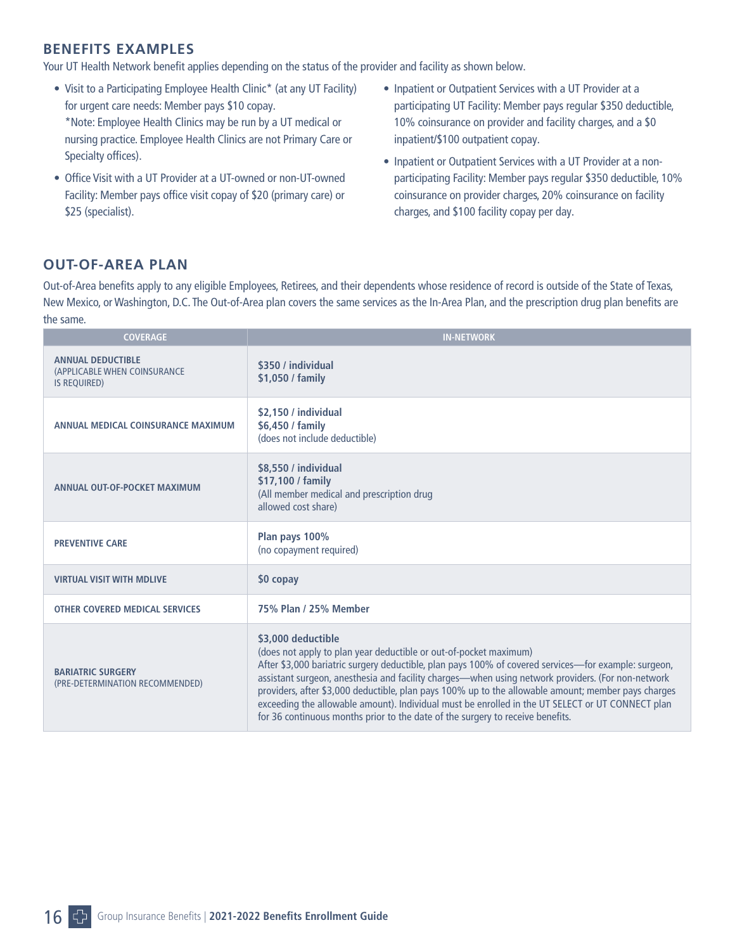## **BENEFITS EXAMPLES**

Your UT Health Network benefit applies depending on the status of the provider and facility as shown below.

- Visit to a Participating Employee Health Clinic\* (at any UT Facility) for urgent care needs: Member pays \$10 copay. \*Note: Employee Health Clinics may be run by a UT medical or nursing practice. Employee Health Clinics are not Primary Care or Specialty offices).
- Office Visit with a UT Provider at a UT-owned or non-UT-owned Facility: Member pays office visit copay of \$20 (primary care) or \$25 (specialist).
- Inpatient or Outpatient Services with a UT Provider at a participating UT Facility: Member pays regular \$350 deductible, 10% coinsurance on provider and facility charges, and a \$0 inpatient/\$100 outpatient copay.
- Inpatient or Outpatient Services with a UT Provider at a nonparticipating Facility: Member pays regular \$350 deductible, 10% coinsurance on provider charges, 20% coinsurance on facility charges, and \$100 facility copay per day.

### **OUT-OF-AREA PLAN**

Out-of-Area benefits apply to any eligible Employees, Retirees, and their dependents whose residence of record is outside of the State of Texas, New Mexico, or Washington, D.C. The Out-of-Area plan covers the same services as the In-Area Plan, and the prescription drug plan benefits are the same.

| <b>COVERAGE</b>                                                                 | <b>IN-NETWORK</b>                                                                                                                                                                                                                                                                                                                                                                                                                                                                                                                                                                                 |
|---------------------------------------------------------------------------------|---------------------------------------------------------------------------------------------------------------------------------------------------------------------------------------------------------------------------------------------------------------------------------------------------------------------------------------------------------------------------------------------------------------------------------------------------------------------------------------------------------------------------------------------------------------------------------------------------|
| <b>ANNUAL DEDUCTIBLE</b><br>(APPLICABLE WHEN COINSURANCE<br><b>IS REQUIRED)</b> | \$350 / individual<br>\$1,050 / family                                                                                                                                                                                                                                                                                                                                                                                                                                                                                                                                                            |
| ANNUAL MEDICAL COINSURANCE MAXIMUM                                              | \$2,150 / individual<br>\$6,450 / family<br>(does not include deductible)                                                                                                                                                                                                                                                                                                                                                                                                                                                                                                                         |
| ANNUAL OUT-OF-POCKET MAXIMUM                                                    | \$8,550 / individual<br>\$17,100 / family<br>(All member medical and prescription drug<br>allowed cost share)                                                                                                                                                                                                                                                                                                                                                                                                                                                                                     |
| <b>PREVENTIVE CARE</b>                                                          | Plan pays 100%<br>(no copayment required)                                                                                                                                                                                                                                                                                                                                                                                                                                                                                                                                                         |
| <b>VIRTUAL VISIT WITH MDLIVE</b>                                                | \$0 copay                                                                                                                                                                                                                                                                                                                                                                                                                                                                                                                                                                                         |
| <b>OTHER COVERED MEDICAL SERVICES</b>                                           | 75% Plan / 25% Member                                                                                                                                                                                                                                                                                                                                                                                                                                                                                                                                                                             |
| <b>BARIATRIC SURGERY</b><br>(PRE-DETERMINATION RECOMMENDED)                     | \$3,000 deductible<br>(does not apply to plan year deductible or out-of-pocket maximum)<br>After \$3,000 bariatric surgery deductible, plan pays 100% of covered services—for example: surgeon,<br>assistant surgeon, anesthesia and facility charges-when using network providers. (For non-network<br>providers, after \$3,000 deductible, plan pays 100% up to the allowable amount; member pays charges<br>exceeding the allowable amount). Individual must be enrolled in the UT SELECT or UT CONNECT plan<br>for 36 continuous months prior to the date of the surgery to receive benefits. |